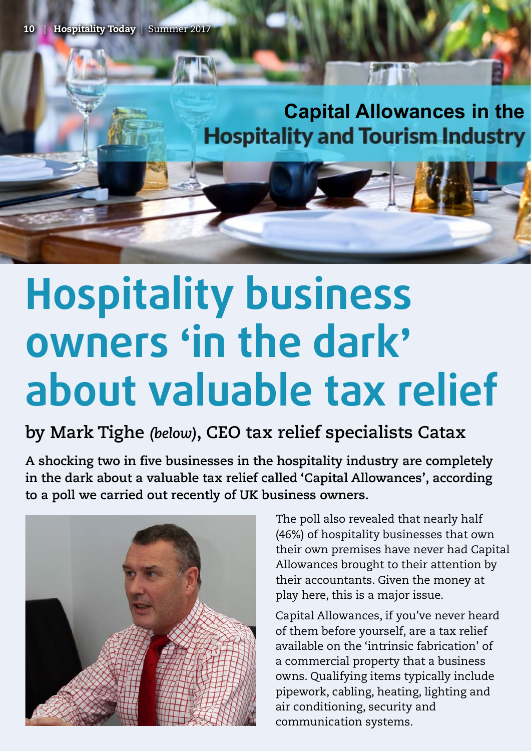## **Capital Allowances in the Capital Allowances in the Hospitality and Tourism Industry**

## **Hospitality business owners 'in the dark' about valuable tax relief**

## **by Mark Tighe** *(below)***, CEO tax relief specialists Catax**

**A shocking two in five businesses in the hospitality industry are completely in the dark about a valuable tax relief called 'Capital Allowances', according to a poll we carried out recently of UK business owners.**



The poll also revealed that nearly half (46%) of hospitality businesses that own their own premises have never had Capital Allowances brought to their attention by their accountants. Given the money at play here, this is a major issue.

Capital Allowances, if you've never heard of them before yourself, are a tax relief available on the 'intrinsic fabrication' of a commercial property that a business owns. Qualifying items typically include pipework, cabling, heating, lighting and air conditioning, security and communication systems.